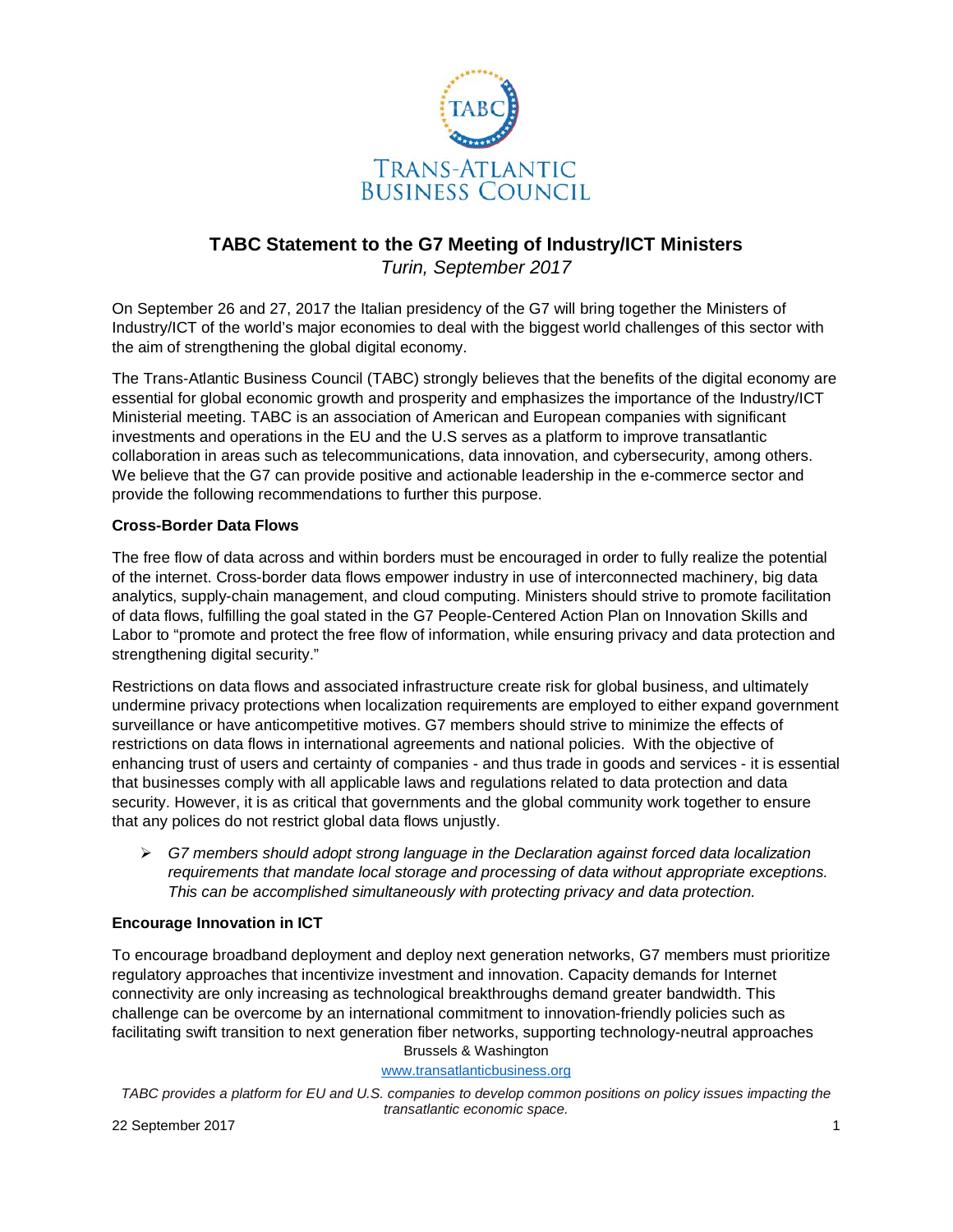

# **TABC Statement to the G7 Meeting of Industry/ICT Ministers** *Turin, September 2017*

On September 26 and 27, 2017 the Italian presidency of the G7 will bring together the Ministers of Industry/ICT of the world's major economies to deal with the biggest world challenges of this sector with the aim of strengthening the global digital economy.

The Trans-Atlantic Business Council (TABC) strongly believes that the benefits of the digital economy are essential for global economic growth and prosperity and emphasizes the importance of the Industry/ICT Ministerial meeting. TABC is an association of American and European companies with significant investments and operations in the EU and the U.S serves as a platform to improve transatlantic collaboration in areas such as telecommunications, data innovation, and cybersecurity, among others. We believe that the G7 can provide positive and actionable leadership in the e-commerce sector and provide the following recommendations to further this purpose.

## **Cross-Border Data Flows**

The free flow of data across and within borders must be encouraged in order to fully realize the potential of the internet. Cross-border data flows empower industry in use of interconnected machinery, big data analytics, supply-chain management, and cloud computing. Ministers should strive to promote facilitation of data flows, fulfilling the goal stated in the G7 People-Centered Action Plan on Innovation Skills and Labor to "promote and protect the free flow of information, while ensuring privacy and data protection and strengthening digital security."

Restrictions on data flows and associated infrastructure create risk for global business, and ultimately undermine privacy protections when localization requirements are employed to either expand government surveillance or have anticompetitive motives. G7 members should strive to minimize the effects of restrictions on data flows in international agreements and national policies. With the objective of enhancing trust of users and certainty of companies - and thus trade in goods and services - it is essential that businesses comply with all applicable laws and regulations related to data protection and data security. However, it is as critical that governments and the global community work together to ensure that any polices do not restrict global data flows unjustly.

 *G7 members should adopt strong language in the Declaration against forced data localization requirements that mandate local storage and processing of data without appropriate exceptions. This can be accomplished simultaneously with protecting privacy and data protection.* 

## **Encourage Innovation in ICT**

Brussels & Washington To encourage broadband deployment and deploy next generation networks, G7 members must prioritize regulatory approaches that incentivize investment and innovation. Capacity demands for Internet connectivity are only increasing as technological breakthroughs demand greater bandwidth. This challenge can be overcome by an international commitment to innovation-friendly policies such as facilitating swift transition to next generation fiber networks, supporting technology-neutral approaches

[www.transatlanticbusiness.org](http://www.transatlanticbusiness.org/)

*TABC provides a platform for EU and U.S. companies to develop common positions on policy issues impacting the transatlantic economic space.*

22 September 2017 1